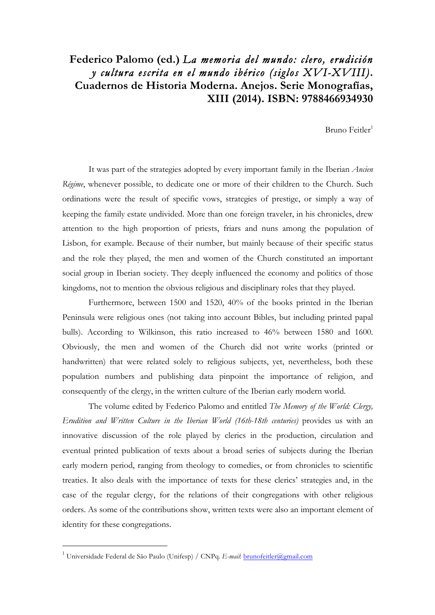## **Federico Palomo (ed.)** *La memoria del mundo: clero, erudición y cultura escrita en el mundo ibérico (siglos XVI-XVIII)***. Cuadernos de Historia Moderna. Anejos. Serie Monografías, XIII (2014). ISBN: 9788466934930**

Bruno Feitler $1$ 

It was part of the strategies adopted by every important family in the Iberian *Ancien Régime*, whenever possible, to dedicate one or more of their children to the Church. Such ordinations were the result of specific vows, strategies of prestige, or simply a way of keeping the family estate undivided. More than one foreign traveler, in his chronicles, drew attention to the high proportion of priests, friars and nuns among the population of Lisbon, for example. Because of their number, but mainly because of their specific status and the role they played, the men and women of the Church constituted an important social group in Iberian society. They deeply influenced the economy and politics of those kingdoms, not to mention the obvious religious and disciplinary roles that they played.

Furthermore, between 1500 and 1520, 40% of the books printed in the Iberian Peninsula were religious ones (not taking into account Bibles, but including printed papal bulls). According to Wilkinson, this ratio increased to 46% between 1580 and 1600. Obviously, the men and women of the Church did not write works (printed or handwritten) that were related solely to religious subjects, yet, nevertheless, both these population numbers and publishing data pinpoint the importance of religion, and consequently of the clergy, in the written culture of the Iberian early modern world.

The volume edited by Federico Palomo and entitled *The Memory of the World: Clergy, Erudition and Written Culture in the Iberian World (16th-18th centuries)* provides us with an innovative discussion of the role played by clerics in the production, circulation and eventual printed publication of texts about a broad series of subjects during the Iberian early modern period, ranging from theology to comedies, or from chronicles to scientific treaties. It also deals with the importance of texts for these clerics' strategies and, in the case of the regular clergy, for the relations of their congregations with other religious orders. As some of the contributions show, written texts were also an important element of identity for these congregations.

 $\overline{a}$ 

<sup>1</sup> Universidade Federal de São Paulo (Unifesp) / CNPq. *E-mail*: brunofeitler@gmail.com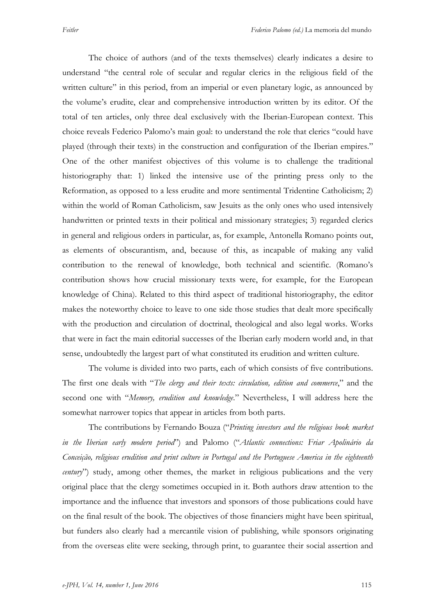The choice of authors (and of the texts themselves) clearly indicates a desire to understand "the central role of secular and regular clerics in the religious field of the written culture" in this period, from an imperial or even planetary logic, as announced by the volume's erudite, clear and comprehensive introduction written by its editor. Of the total of ten articles, only three deal exclusively with the Iberian-European context. This choice reveals Federico Palomo's main goal: to understand the role that clerics "could have played (through their texts) in the construction and configuration of the Iberian empires." One of the other manifest objectives of this volume is to challenge the traditional historiography that: 1) linked the intensive use of the printing press only to the Reformation, as opposed to a less erudite and more sentimental Tridentine Catholicism; 2) within the world of Roman Catholicism, saw Jesuits as the only ones who used intensively handwritten or printed texts in their political and missionary strategies; 3) regarded clerics in general and religious orders in particular, as, for example, Antonella Romano points out, as elements of obscurantism, and, because of this, as incapable of making any valid contribution to the renewal of knowledge, both technical and scientific. (Romano's contribution shows how crucial missionary texts were, for example, for the European knowledge of China). Related to this third aspect of traditional historiography, the editor makes the noteworthy choice to leave to one side those studies that dealt more specifically with the production and circulation of doctrinal, theological and also legal works. Works that were in fact the main editorial successes of the Iberian early modern world and, in that sense, undoubtedly the largest part of what constituted its erudition and written culture.

The volume is divided into two parts, each of which consists of five contributions. The first one deals with "*The clergy and their texts: circulation, edition and commerce*," and the second one with "*Memory, erudition and knowledge*." Nevertheless, I will address here the somewhat narrower topics that appear in articles from both parts.

The contributions by Fernando Bouza ("*Printing investors and the religious book market in the Iberian early modern period*") and Palomo ("*Atlantic connections: Friar Apolinário da Conceição, religious erudition and print culture in Portugal and the Portuguese America in the eighteenth century*") study, among other themes, the market in religious publications and the very original place that the clergy sometimes occupied in it. Both authors draw attention to the importance and the influence that investors and sponsors of those publications could have on the final result of the book. The objectives of those financiers might have been spiritual, but funders also clearly had a mercantile vision of publishing, while sponsors originating from the overseas elite were seeking, through print, to guarantee their social assertion and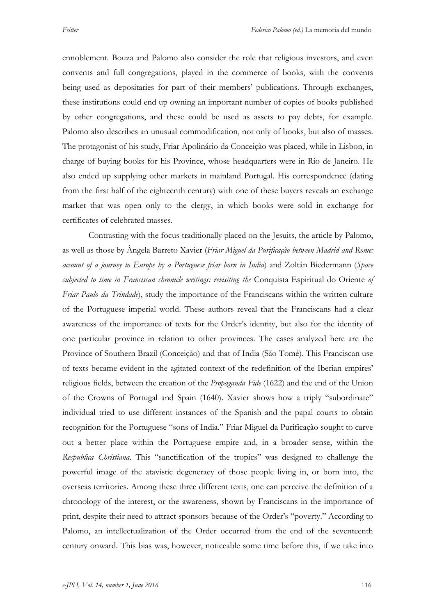ennoblement. Bouza and Palomo also consider the role that religious investors, and even convents and full congregations, played in the commerce of books, with the convents being used as depositaries for part of their members' publications. Through exchanges, these institutions could end up owning an important number of copies of books published by other congregations, and these could be used as assets to pay debts, for example. Palomo also describes an unusual commodification, not only of books, but also of masses. The protagonist of his study, Friar Apolinário da Conceição was placed, while in Lisbon, in charge of buying books for his Province, whose headquarters were in Rio de Janeiro. He also ended up supplying other markets in mainland Portugal. His correspondence (dating from the first half of the eighteenth century) with one of these buyers reveals an exchange market that was open only to the clergy, in which books were sold in exchange for certificates of celebrated masses.

Contrasting with the focus traditionally placed on the Jesuits, the article by Palomo, as well as those by Ângela Barreto Xavier (*Friar Miguel da Purificação between Madrid and Rome: account of a journey to Europe by a Portuguese friar born in India*) and Zoltán Biedermann (*Space subjected to time in Franciscan chronicle writings: revisiting the* Conquista Espiritual do Oriente *of Friar Paulo da Trindade*), study the importance of the Franciscans within the written culture of the Portuguese imperial world. These authors reveal that the Franciscans had a clear awareness of the importance of texts for the Order's identity, but also for the identity of one particular province in relation to other provinces. The cases analyzed here are the Province of Southern Brazil (Conceição) and that of India (São Tomé). This Franciscan use of texts became evident in the agitated context of the redefinition of the Iberian empires' religious fields, between the creation of the *Propaganda Fide* (1622) and the end of the Union of the Crowns of Portugal and Spain (1640). Xavier shows how a triply "subordinate" individual tried to use different instances of the Spanish and the papal courts to obtain recognition for the Portuguese "sons of India." Friar Miguel da Purificação sought to carve out a better place within the Portuguese empire and, in a broader sense, within the *Respublica Christiana*. This "sanctification of the tropics" was designed to challenge the powerful image of the atavistic degeneracy of those people living in, or born into, the overseas territories. Among these three different texts, one can perceive the definition of a chronology of the interest, or the awareness, shown by Franciscans in the importance of print, despite their need to attract sponsors because of the Order's "poverty." According to Palomo, an intellectualization of the Order occurred from the end of the seventeenth century onward. This bias was, however, noticeable some time before this, if we take into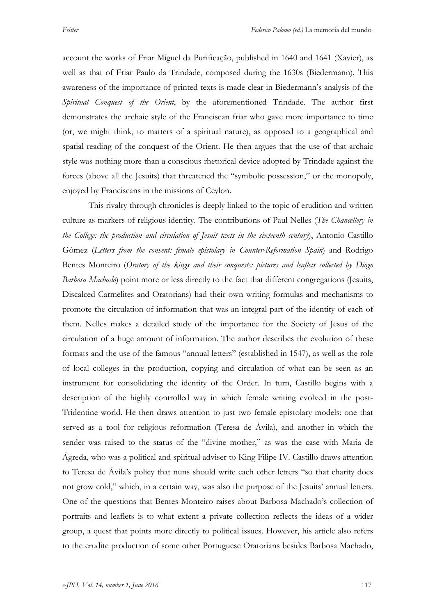account the works of Friar Miguel da Purificação, published in 1640 and 1641 (Xavier), as well as that of Friar Paulo da Trindade, composed during the 1630s (Biedermann). This awareness of the importance of printed texts is made clear in Biedermann's analysis of the *Spiritual Conquest of the Orient*, by the aforementioned Trindade. The author first demonstrates the archaic style of the Franciscan friar who gave more importance to time (or, we might think, to matters of a spiritual nature), as opposed to a geographical and spatial reading of the conquest of the Orient. He then argues that the use of that archaic style was nothing more than a conscious rhetorical device adopted by Trindade against the forces (above all the Jesuits) that threatened the "symbolic possession," or the monopoly, enjoyed by Franciscans in the missions of Ceylon.

This rivalry through chronicles is deeply linked to the topic of erudition and written culture as markers of religious identity. The contributions of Paul Nelles (*The Chancellery in the College: the production and circulation of Jesuit texts in the sixteenth century*), Antonio Castillo Gómez (*Letters from the convent: female epistolary in Counter-Reformation Spain*) and Rodrigo Bentes Monteiro (*Oratory of the kings and their conquests: pictures and leaflets collected by Diogo Barbosa Machado*) point more or less directly to the fact that different congregations (Jesuits, Discalced Carmelites and Oratorians) had their own writing formulas and mechanisms to promote the circulation of information that was an integral part of the identity of each of them. Nelles makes a detailed study of the importance for the Society of Jesus of the circulation of a huge amount of information. The author describes the evolution of these formats and the use of the famous "annual letters" (established in 1547), as well as the role of local colleges in the production, copying and circulation of what can be seen as an instrument for consolidating the identity of the Order. In turn, Castillo begins with a description of the highly controlled way in which female writing evolved in the post-Tridentine world. He then draws attention to just two female epistolary models: one that served as a tool for religious reformation (Teresa de Ávila), and another in which the sender was raised to the status of the "divine mother," as was the case with Maria de Ágreda, who was a political and spiritual adviser to King Filipe IV. Castillo draws attention to Teresa de Ávila's policy that nuns should write each other letters "so that charity does not grow cold," which, in a certain way, was also the purpose of the Jesuits' annual letters. One of the questions that Bentes Monteiro raises about Barbosa Machado's collection of portraits and leaflets is to what extent a private collection reflects the ideas of a wider group, a quest that points more directly to political issues. However, his article also refers to the erudite production of some other Portuguese Oratorians besides Barbosa Machado,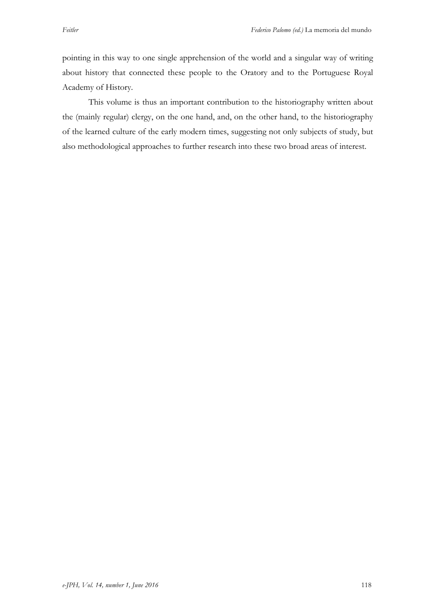pointing in this way to one single apprehension of the world and a singular way of writing about history that connected these people to the Oratory and to the Portuguese Royal Academy of History.

This volume is thus an important contribution to the historiography written about the (mainly regular) clergy, on the one hand, and, on the other hand, to the historiography of the learned culture of the early modern times, suggesting not only subjects of study, but also methodological approaches to further research into these two broad areas of interest.